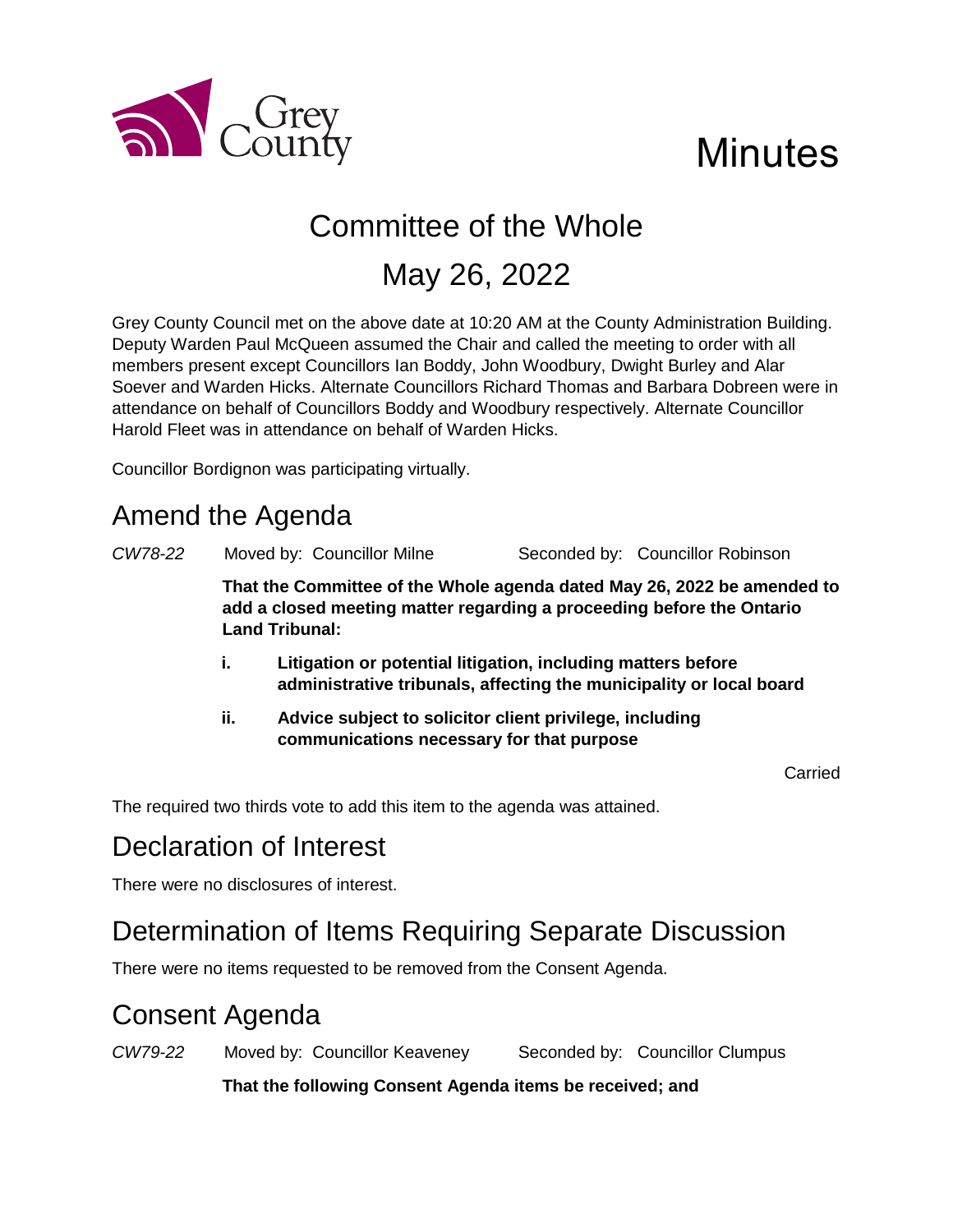

# **Minutes**

# Committee of the Whole

## May 26, 2022

Grey County Council met on the above date at 10:20 AM at the County Administration Building. Deputy Warden Paul McQueen assumed the Chair and called the meeting to order with all members present except Councillors Ian Boddy, John Woodbury, Dwight Burley and Alar Soever and Warden Hicks. Alternate Councillors Richard Thomas and Barbara Dobreen were in attendance on behalf of Councillors Boddy and Woodbury respectively. Alternate Councillor Harold Fleet was in attendance on behalf of Warden Hicks.

Councillor Bordignon was participating virtually.

## Amend the Agenda

*CW78-22* Moved by: Councillor Milne Seconded by: Councillor Robinson

**That the Committee of the Whole agenda dated May 26, 2022 be amended to add a closed meeting matter regarding a proceeding before the Ontario Land Tribunal:**

- **i. Litigation or potential litigation, including matters before administrative tribunals, affecting the municipality or local board**
- **ii. Advice subject to solicitor client privilege, including communications necessary for that purpose**

Carried

The required two thirds vote to add this item to the agenda was attained.

## Declaration of Interest

There were no disclosures of interest.

## Determination of Items Requiring Separate Discussion

There were no items requested to be removed from the Consent Agenda.

## Consent Agenda

*CW79-22* Moved by: Councillor Keaveney Seconded by: Councillor Clumpus

**That the following Consent Agenda items be received; and**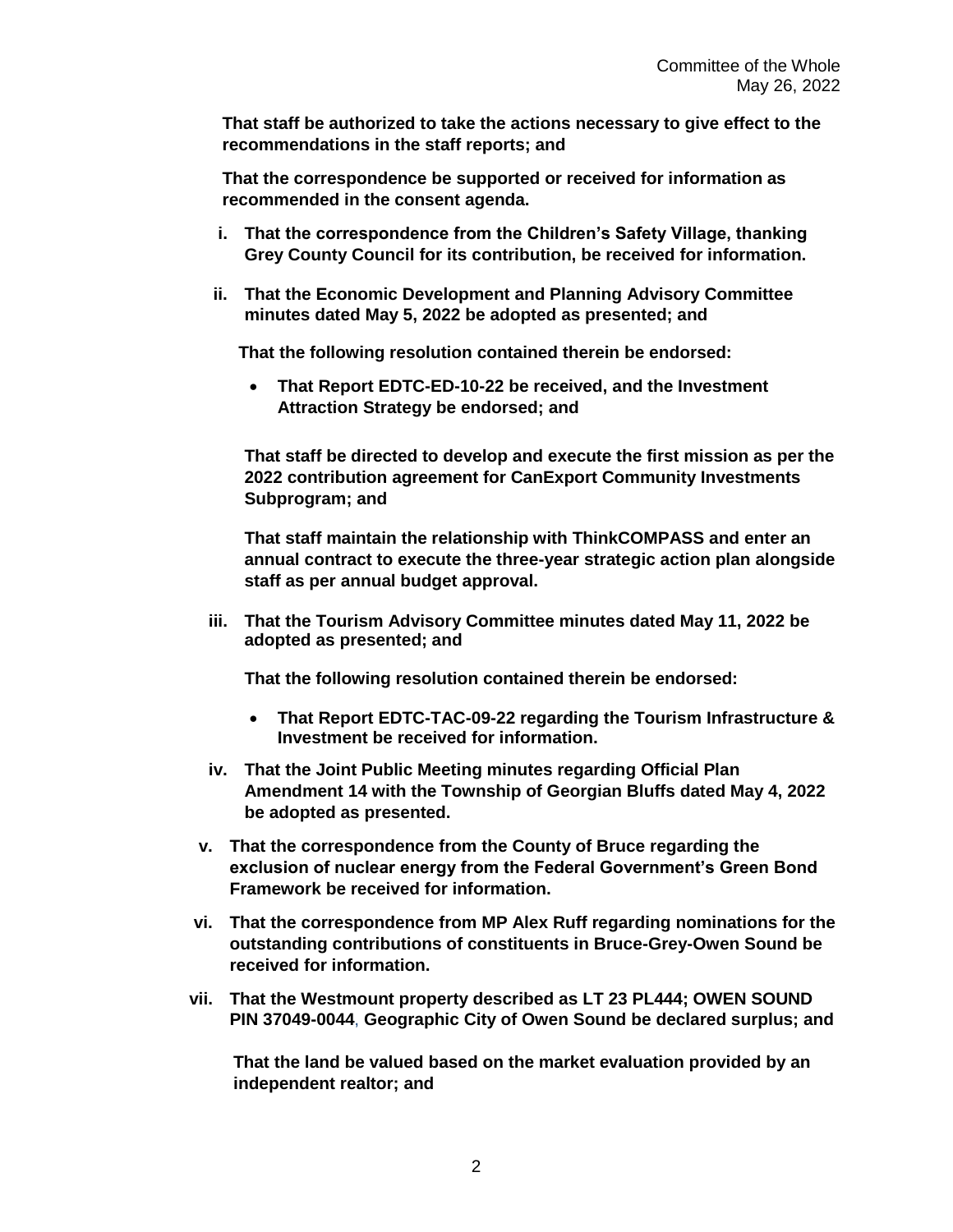**That staff be authorized to take the actions necessary to give effect to the recommendations in the staff reports; and**

**That the correspondence be supported or received for information as recommended in the consent agenda.** 

- **i. That the correspondence from the Children's Safety Village, thanking Grey County Council for its contribution, be received for information.**
- **ii. That the Economic Development and Planning Advisory Committee minutes dated May 5, 2022 be adopted as presented; and**

**That the following resolution contained therein be endorsed:**

 **That Report EDTC-ED-10-22 be received, and the Investment Attraction Strategy be endorsed; and**

**That staff be directed to develop and execute the first mission as per the 2022 contribution agreement for CanExport Community Investments Subprogram; and** 

**That staff maintain the relationship with ThinkCOMPASS and enter an annual contract to execute the three-year strategic action plan alongside staff as per annual budget approval.** 

**iii. That the Tourism Advisory Committee minutes dated May 11, 2022 be adopted as presented; and**

**That the following resolution contained therein be endorsed:**

- **That Report EDTC-TAC-09-22 regarding the Tourism Infrastructure & Investment be received for information.**
- **iv. That the Joint Public Meeting minutes regarding Official Plan Amendment 14 with the Township of Georgian Bluffs dated May 4, 2022 be adopted as presented.**
- **v. That the correspondence from the County of Bruce regarding the exclusion of nuclear energy from the Federal Government's Green Bond Framework be received for information.**
- **vi. That the correspondence from MP Alex Ruff regarding nominations for the outstanding contributions of constituents in Bruce-Grey-Owen Sound be received for information.**
- **vii. That the Westmount property described as LT 23 PL444; OWEN SOUND PIN 37049-0044**, **Geographic City of Owen Sound be declared surplus; and**

**That the land be valued based on the market evaluation provided by an independent realtor; and**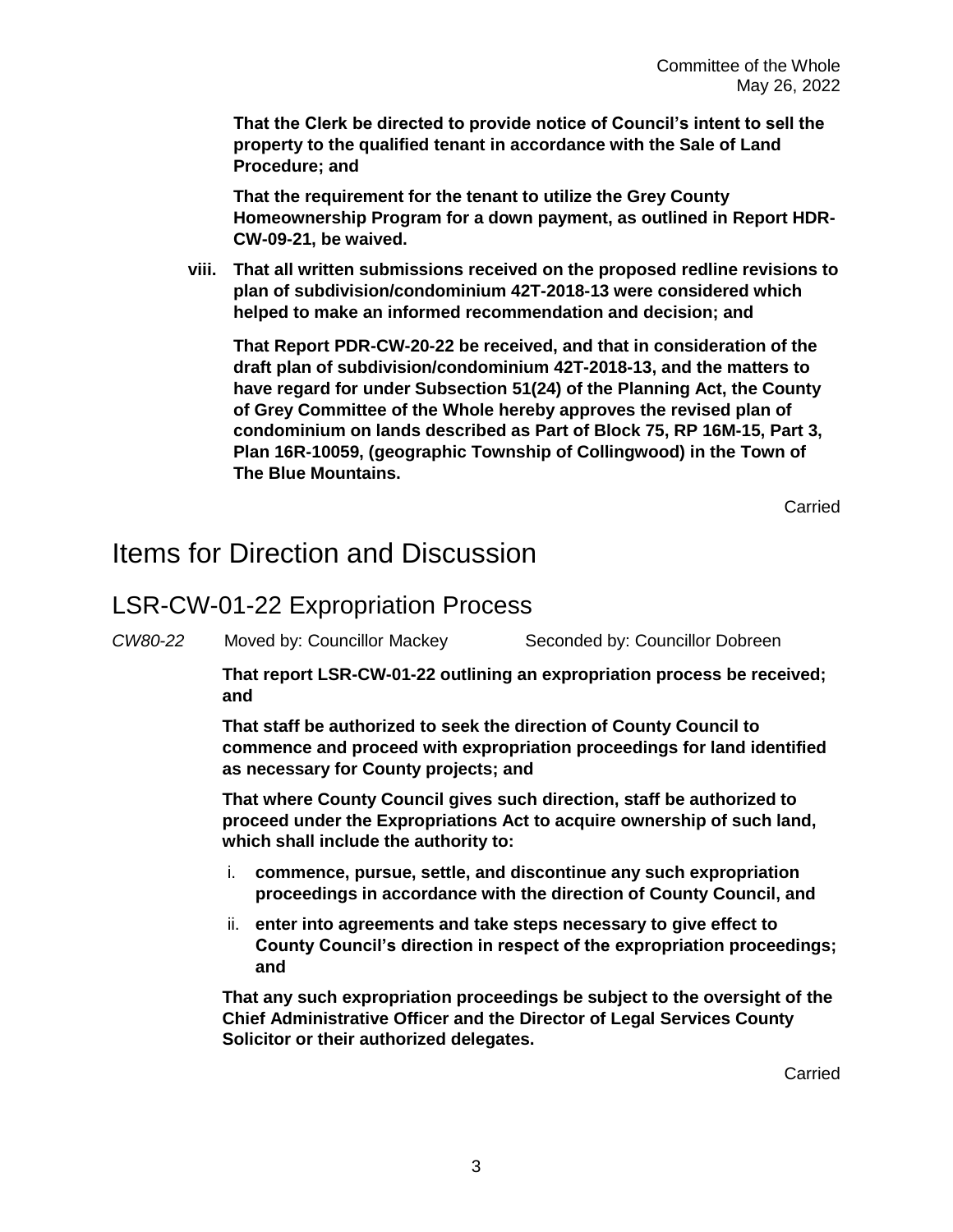**That the Clerk be directed to provide notice of Council's intent to sell the property to the qualified tenant in accordance with the Sale of Land Procedure; and**

**That the requirement for the tenant to utilize the Grey County Homeownership Program for a down payment, as outlined in Report HDR-CW-09-21, be waived.**

**viii. That all written submissions received on the proposed redline revisions to plan of subdivision/condominium 42T-2018-13 were considered which helped to make an informed recommendation and decision; and**

**That Report PDR-CW-20-22 be received, and that in consideration of the draft plan of subdivision/condominium 42T-2018-13, and the matters to have regard for under Subsection 51(24) of the Planning Act, the County of Grey Committee of the Whole hereby approves the revised plan of condominium on lands described as Part of Block 75, RP 16M-15, Part 3, Plan 16R-10059, (geographic Township of Collingwood) in the Town of The Blue Mountains.**

Carried

#### Items for Direction and Discussion

#### LSR-CW-01-22 Expropriation Process

*CW80-22* Moved by: Councillor Mackey Seconded by: Councillor Dobreen

**That report LSR-CW-01-22 outlining an expropriation process be received; and**

**That staff be authorized to seek the direction of County Council to commence and proceed with expropriation proceedings for land identified as necessary for County projects; and**

**That where County Council gives such direction, staff be authorized to proceed under the Expropriations Act to acquire ownership of such land, which shall include the authority to:**

- i. **commence, pursue, settle, and discontinue any such expropriation proceedings in accordance with the direction of County Council, and**
- ii. **enter into agreements and take steps necessary to give effect to County Council's direction in respect of the expropriation proceedings; and**

**That any such expropriation proceedings be subject to the oversight of the Chief Administrative Officer and the Director of Legal Services County Solicitor or their authorized delegates.**

Carried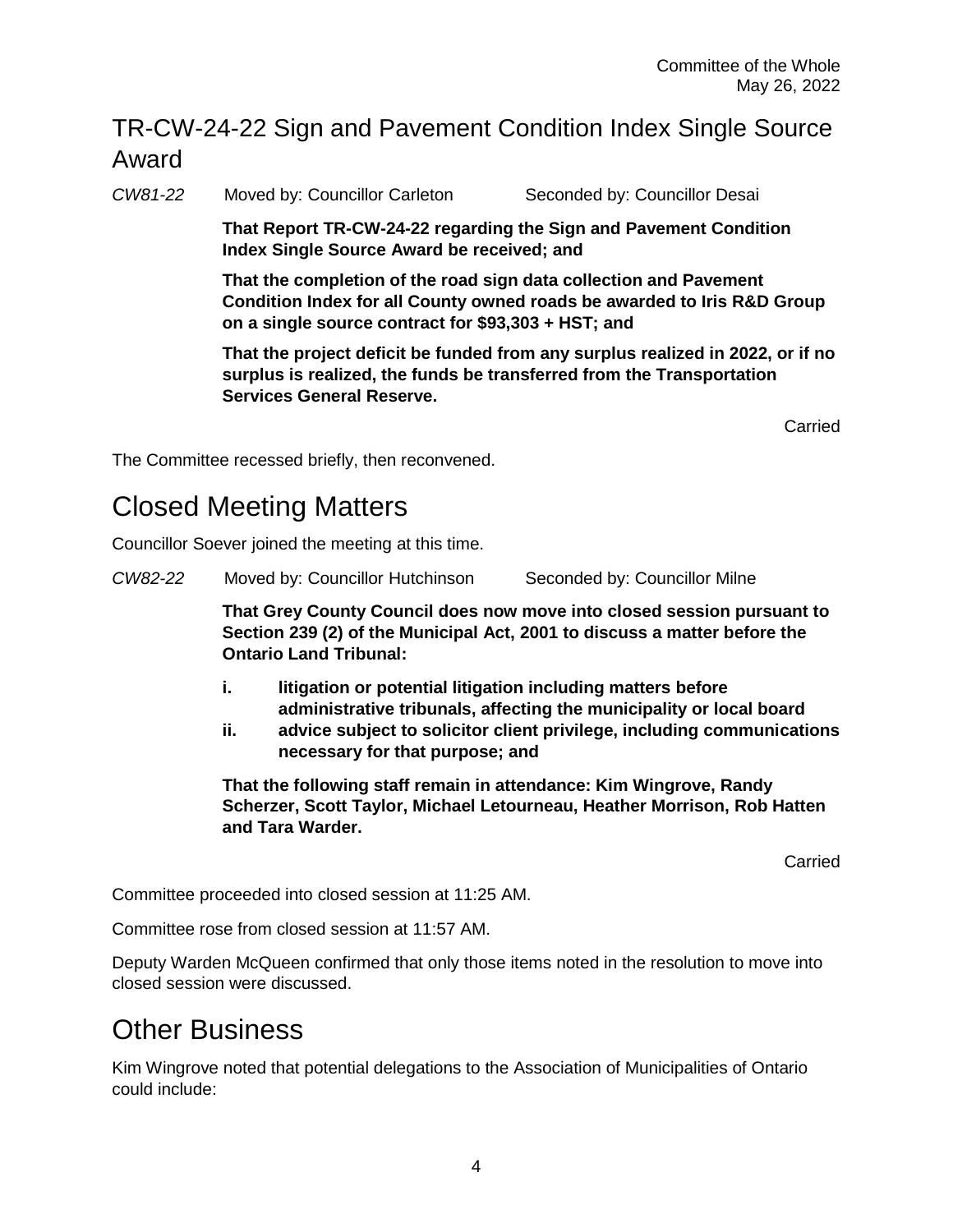#### TR-CW-24-22 Sign and Pavement Condition Index Single Source Award

*CW81-22* Moved by: Councillor Carleton Seconded by: Councillor Desai

**That Report TR-CW-24-22 regarding the Sign and Pavement Condition Index Single Source Award be received; and**

**That the completion of the road sign data collection and Pavement Condition Index for all County owned roads be awarded to Iris R&D Group on a single source contract for \$93,303 + HST; and**

**That the project deficit be funded from any surplus realized in 2022, or if no surplus is realized, the funds be transferred from the Transportation Services General Reserve.** 

Carried

The Committee recessed briefly, then reconvened.

## Closed Meeting Matters

Councillor Soever joined the meeting at this time.

*CW82-22* Moved by: Councillor Hutchinson Seconded by: Councillor Milne

**That Grey County Council does now move into closed session pursuant to Section 239 (2) of the Municipal Act, 2001 to discuss a matter before the Ontario Land Tribunal:**

- **i. litigation or potential litigation including matters before administrative tribunals, affecting the municipality or local board**
- **ii. advice subject to solicitor client privilege, including communications necessary for that purpose; and**

**That the following staff remain in attendance: Kim Wingrove, Randy Scherzer, Scott Taylor, Michael Letourneau, Heather Morrison, Rob Hatten and Tara Warder.** 

Carried

Committee proceeded into closed session at 11:25 AM.

Committee rose from closed session at 11:57 AM.

Deputy Warden McQueen confirmed that only those items noted in the resolution to move into closed session were discussed.

## Other Business

Kim Wingrove noted that potential delegations to the Association of Municipalities of Ontario could include: